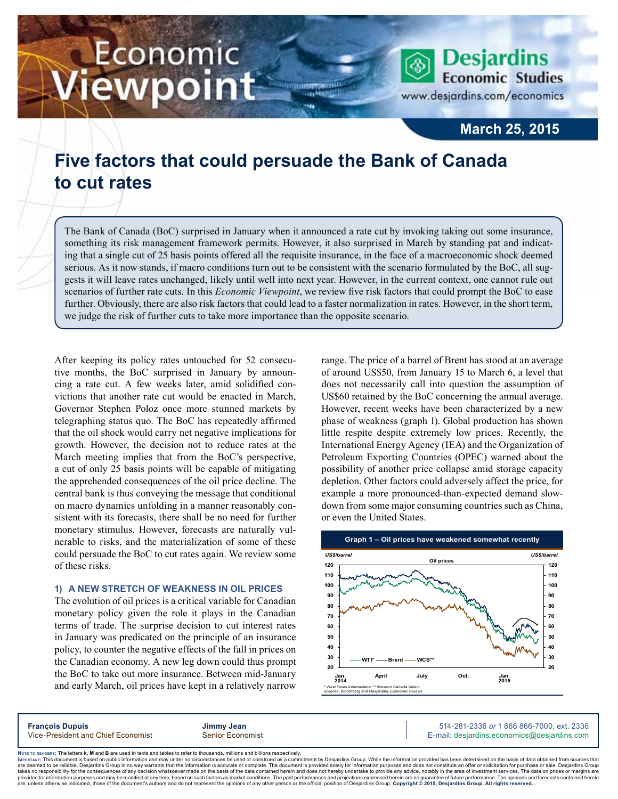# Economic iewpoint

**Desjardins Economic Studies** www.desjardins.com/economics

### **March 25, 2015**

## **Five factors that could persuade the Bank of Canada to cut rates**

The Bank of Canada (BoC) surprised in January when it announced a rate cut by invoking taking out some insurance, something its risk management framework permits. However, it also surprised in March by standing pat and indicating that a single cut of 25 basis points offered all the requisite insurance, in the face of a macroeconomic shock deemed serious. As it now stands, if macro conditions turn out to be consistent with the scenario formulated by the BoC, all suggests it will leave rates unchanged, likely until well into next year. However, in the current context, one cannot rule out scenarios of further rate cuts. In this *Economic Viewpoint*, we review five risk factors that could prompt the BoC to ease further. Obviously, there are also risk factors that could lead to a faster normalization in rates. However, in the short term, we judge the risk of further cuts to take more importance than the opposite scenario.

,,,

After keeping its policy rates untouched for 52 consecutive months, the BoC surprised in January by announcing a rate cut. A few weeks later, amid solidified convictions that another rate cut would be enacted in March, Governor Stephen Poloz once more stunned markets by telegraphing status quo. The BoC has repeatedly affirmed that the oil shock would carry net negative implications for growth. However, the decision not to reduce rates at the March meeting implies that from the BoC's perspective, a cut of only 25 basis points will be capable of mitigating the apprehended consequences of the oil price decline. The central bank is thus conveying the message that conditional on macro dynamics unfolding in a manner reasonably consistent with its forecasts, there shall be no need for further monetary stimulus. However, forecasts are naturally vulnerable to risks, and the materialization of some of these could persuade the BoC to cut rates again. We review some of these risks.

#### **1) A new stretch of weakness in oil prices**

The evolution of oil prices is a critical variable for Canadian monetary policy given the role it plays in the Canadian terms of trade. The surprise decision to cut interest rates in January was predicated on the principle of an insurance policy, to counter the negative effects of the fall in prices on the Canadian economy. A new leg down could thus prompt the BoC to take out more insurance. Between mid-January and early March, oil prices have kept in a relatively narrow range. The price of a barrel of Brent has stood at an average of around US\$50, from January 15 to March 6, a level that does not necessarily call into question the assumption of US\$60 retained by the BoC concerning the annual average. However, recent weeks have been characterized by a new phase of weakness (graph 1). Global production has shown little respite despite extremely low prices. Recently, the International Energy Agency (IEA) and the Organization of Petroleum Exporting Countries (OPEC) warned about the possibility of another price collapse amid storage capacity depletion. Other factors could adversely affect the price, for example a more pronounced-than-expected demand slowdown from some major consuming countries such as China, or even the United States.



**François Dupuis Jimmy Jean** 514-281-2336 *or* 1 866 866-7000, ext. 2336 Vice-President and Chief Economist Senior Economist Senior Economist E-mail: desjardins.economics@desjardins.com

Noте то келоекs: The letters **k, M** and **B** are used in texts and tables to refer to thousands, millions and billions respectively.<br>Імроктлит: This document is based on public information and may under no circumstances be are deemed to be reliable. Desiardins Group in no way warrants that the information is accurate or complete. The document is provided solely for information purposes and does not constitute an offer or solicitation for pur takes no responsibility for the consequences of any decision whatsoever made on the basis of the data contained herein and does not hereby undertake to provide any advice, notably in the area of investment services. The da .<br>are, unless otherwise indicated, those of the document's authors and do not represent the opinions of any other person or the official position of Desjardins Group. Copyright © 2015, Desjardins Group. All rights reserve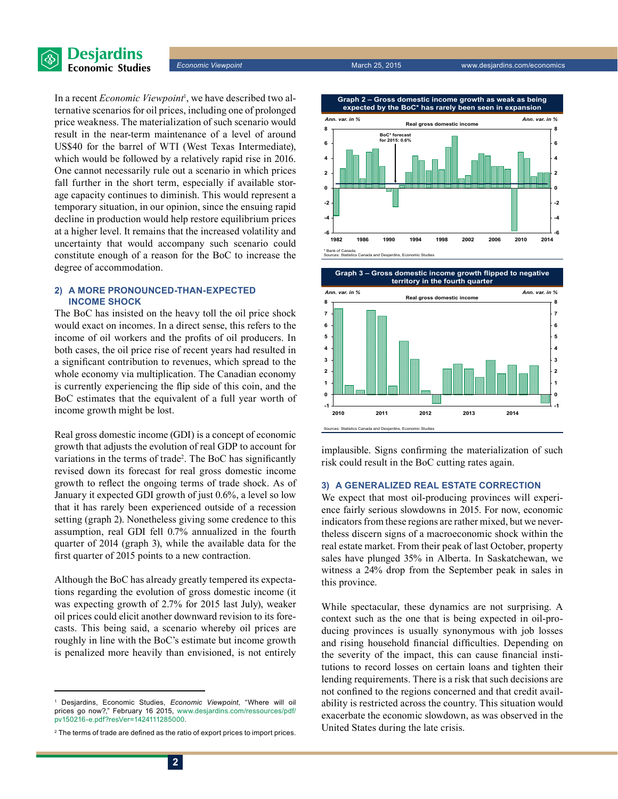



In a recent *Economic Viewpoint*<sup>1</sup> , we have described two alternative scenarios for oil prices, including one of prolonged price weakness. The materialization of such scenario would result in the near-term maintenance of a level of around US\$40 for the barrel of WTI (West Texas Intermediate), which would be followed by a relatively rapid rise in 2016. One cannot necessarily rule out a scenario in which prices fall further in the short term, especially if available storage capacity continues to diminish. This would represent a temporary situation, in our opinion, since the ensuing rapid decline in production would help restore equilibrium prices at a higher level. It remains that the increased volatility and uncertainty that would accompany such scenario could constitute enough of a reason for the BoC to increase the degree of accommodation.

#### **2) A more pronounced-than-expected income shock**

The BoC has insisted on the heavy toll the oil price shock would exact on incomes. In a direct sense, this refers to the income of oil workers and the profits of oil producers. In both cases, the oil price rise of recent years had resulted in a significant contribution to revenues, which spread to the whole economy via multiplication. The Canadian economy is currently experiencing the flip side of this coin, and the BoC estimates that the equivalent of a full year worth of income growth might be lost.

Real gross domestic income (GDI) is a concept of economic growth that adjusts the evolution of real GDP to account for variations in the terms of trade<sup>2</sup>. The BoC has significantly revised down its forecast for real gross domestic income growth to reflect the ongoing terms of trade shock. As of January it expected GDI growth of just 0.6%, a level so low that it has rarely been experienced outside of a recession setting (graph 2). Nonetheless giving some credence to this assumption, real GDI fell 0.7% annualized in the fourth quarter of 2014 (graph 3), while the available data for the first quarter of 2015 points to a new contraction.

Although the BoC has already greatly tempered its expectations regarding the evolution of gross domestic income (it was expecting growth of 2.7% for 2015 last July), weaker oil prices could elicit another downward revision to its forecasts. This being said, a scenario whereby oil prices are roughly in line with the BoC's estimate but income growth is penalized more heavily than envisioned, is not entirely

**Graph 2 – Gross domestic income growth as weak as being expected by the BoC\* has rarely been seen in expansion**



**Graph 3 – Gross domestic income growth flipped to negative territory in the fourth quarter**



implausible. Signs confirming the materialization of such risk could result in the BoC cutting rates again.

#### **3) A generalized real estate correction**

We expect that most oil-producing provinces will experience fairly serious slowdowns in 2015. For now, economic indicators from these regions are rather mixed, but we nevertheless discern signs of a macroeconomic shock within the real estate market. From their peak of last October, property sales have plunged 35% in Alberta. In Saskatchewan, we witness a 24% drop from the September peak in sales in this province.

While spectacular, these dynamics are not surprising. A context such as the one that is being expected in oil-producing provinces is usually synonymous with job losses and rising household financial difficulties. Depending on the severity of the impact, this can cause financial institutions to record losses on certain loans and tighten their lending requirements. There is a risk that such decisions are not confined to the regions concerned and that credit availability is restricted across the country. This situation would exacerbate the economic slowdown, as was observed in the United States during the late crisis.

<sup>1</sup> Desjardins, Economic Studies, *Economic Viewpoint*, "Where will oil prices go now?," February 16 2015, [www.desjardins.com/ressources/pdf/](http://www.desjardins.com/ressources/pdf/pv150216-e.pdf?resVer=1424111285000) [pv150216-e.pdf?resVer=1424111285000.](http://www.desjardins.com/ressources/pdf/pv150216-e.pdf?resVer=1424111285000)

<sup>2</sup> The terms of trade are defined as the ratio of export prices to import prices.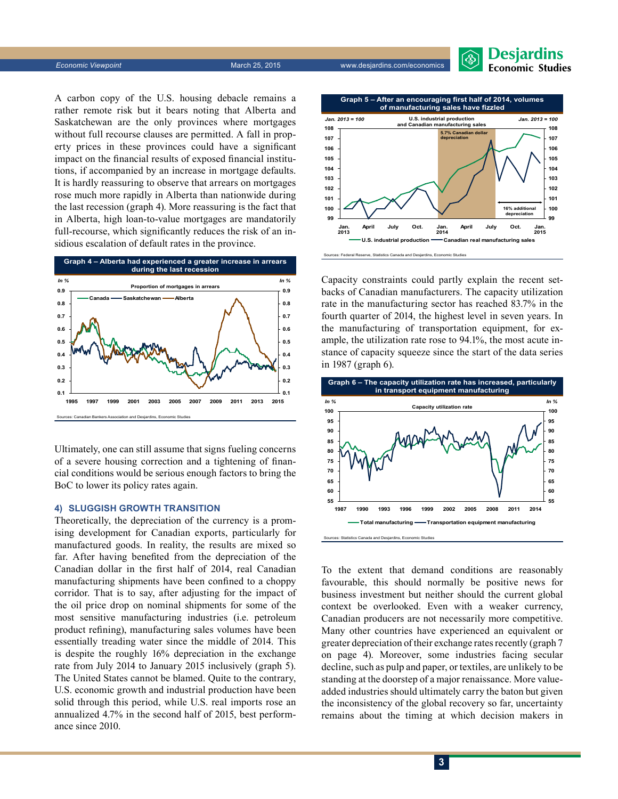

A carbon copy of the U.S. housing debacle remains a rather remote risk but it bears noting that Alberta and Saskatchewan are the only provinces where mortgages without full recourse clauses are permitted. A fall in property prices in these provinces could have a significant impact on the financial results of exposed financial institutions, if accompanied by an increase in mortgage defaults. It is hardly reassuring to observe that arrears on mortgages rose much more rapidly in Alberta than nationwide during the last recession (graph 4). More reassuring is the fact that in Alberta, high loan-to-value mortgages are mandatorily full-recourse, which significantly reduces the risk of an insidious escalation of default rates in the province.



Ultimately, one can still assume that signs fueling concerns of a severe housing correction and a tightening of financial conditions would be serious enough factors to bring the BoC to lower its policy rates again.

#### **4) Sluggish growth transition**

Theoretically, the depreciation of the currency is a promising development for Canadian exports, particularly for manufactured goods. In reality, the results are mixed so far. After having benefited from the depreciation of the Canadian dollar in the first half of 2014, real Canadian manufacturing shipments have been confined to a choppy corridor. That is to say, after adjusting for the impact of the oil price drop on nominal shipments for some of the most sensitive manufacturing industries (i.e. petroleum product refining), manufacturing sales volumes have been essentially treading water since the middle of 2014. This is despite the roughly 16% depreciation in the exchange rate from July 2014 to January 2015 inclusively (graph 5). The United States cannot be blamed. Quite to the contrary, U.S. economic growth and industrial production have been solid through this period, while U.S. real imports rose an annualized 4.7% in the second half of 2015, best performance since 2010.



Capacity constraints could partly explain the recent setbacks of Canadian manufacturers. The capacity utilization rate in the manufacturing sector has reached 83.7% in the fourth quarter of 2014, the highest level in seven years. In the manufacturing of transportation equipment, for example, the utilization rate rose to 94.1%, the most acute instance of capacity squeeze since the start of the data series in 1987 (graph 6).



To the extent that demand conditions are reasonably favourable, this should normally be positive news for business investment but neither should the current global context be overlooked. Even with a weaker currency, Canadian producers are not necessarily more competitive. Many other countries have experienced an equivalent or greater depreciation of their exchange rates recently (graph 7 on page 4). Moreover, some industries facing secular decline, such as pulp and paper, or textiles, are unlikely to be standing at the doorstep of a major renaissance. More valueadded industries should ultimately carry the baton but given the inconsistency of the global recovery so far, uncertainty remains about the timing at which decision makers in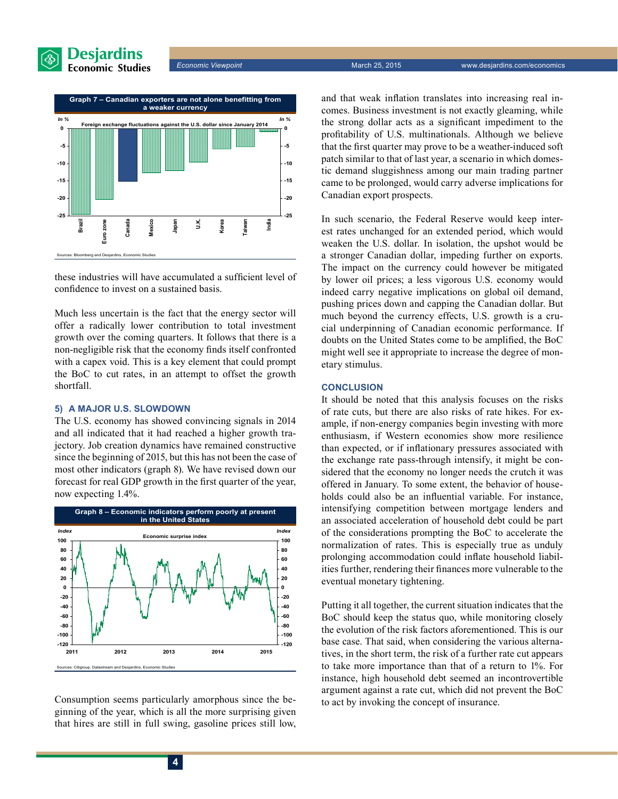



these industries will have accumulated a sufficient level of confidence to invest on a sustained basis.

Much less uncertain is the fact that the energy sector will offer a radically lower contribution to total investment growth over the coming quarters. It follows that there is a non-negligible risk that the economy finds itself confronted with a capex void. This is a key element that could prompt the BoC to cut rates, in an attempt to offset the growth shortfall.

#### **5) A major U.S. slowdown**

The U.S. economy has showed convincing signals in 2014 and all indicated that it had reached a higher growth trajectory. Job creation dynamics have remained constructive since the beginning of 2015, but this has not been the case of most other indicators (graph 8). We have revised down our forecast for real GDP growth in the first quarter of the year, now expecting 1.4%.



Consumption seems particularly amorphous since the beginning of the year, which is all the more surprising given that hires are still in full swing, gasoline prices still low, and that weak inflation translates into increasing real incomes. Business investment is not exactly gleaming, while the strong dollar acts as a significant impediment to the profitability of U.S. multinationals. Although we believe that the first quarter may prove to be a weather-induced soft patch similar to that of last year, a scenario in which domestic demand sluggishness among our main trading partner came to be prolonged, would carry adverse implications for Canadian export prospects.

In such scenario, the Federal Reserve would keep interest rates unchanged for an extended period, which would weaken the U.S. dollar. In isolation, the upshot would be a stronger Canadian dollar, impeding further on exports. The impact on the currency could however be mitigated by lower oil prices; a less vigorous U.S. economy would indeed carry negative implications on global oil demand, pushing prices down and capping the Canadian dollar. But much beyond the currency effects, U.S. growth is a crucial underpinning of Canadian economic performance. If doubts on the United States come to be amplified, the BoC might well see it appropriate to increase the degree of monetary stimulus.

#### **CONCLUSION**

It should be noted that this analysis focuses on the risks of rate cuts, but there are also risks of rate hikes. For example, if non-energy companies begin investing with more enthusiasm, if Western economies show more resilience than expected, or if inflationary pressures associated with the exchange rate pass-through intensify, it might be considered that the economy no longer needs the crutch it was offered in January. To some extent, the behavior of households could also be an influential variable. For instance, intensifying competition between mortgage lenders and an associated acceleration of household debt could be part of the considerations prompting the BoC to accelerate the normalization of rates. This is especially true as unduly prolonging accommodation could inflate household liabilities further, rendering their finances more vulnerable to the eventual monetary tightening.

Putting it all together, the current situation indicates that the BoC should keep the status quo, while monitoring closely the evolution of the risk factors aforementioned. This is our base case. That said, when considering the various alternatives, in the short term, the risk of a further rate cut appears to take more importance than that of a return to 1%. For instance, high household debt seemed an incontrovertible argument against a rate cut, which did not prevent the BoC to act by invoking the concept of insurance.